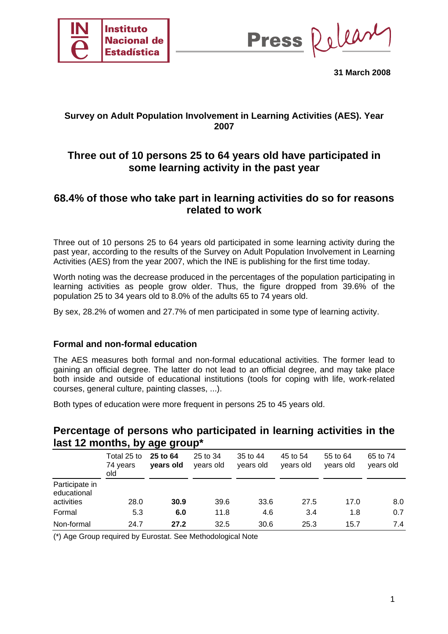

Press Release

**31 March 2008** 

## **Survey on Adult Population Involvement in Learning Activities (AES). Year 2007**

# **Three out of 10 persons 25 to 64 years old have participated in some learning activity in the past year**

## **68.4% of those who take part in learning activities do so for reasons related to work**

Three out of 10 persons 25 to 64 years old participated in some learning activity during the past year, according to the results of the Survey on Adult Population Involvement in Learning Activities (AES) from the year 2007, which the INE is publishing for the first time today.

Worth noting was the decrease produced in the percentages of the population participating in learning activities as people grow older. Thus, the figure dropped from 39.6% of the population 25 to 34 years old to 8.0% of the adults 65 to 74 years old.

By sex, 28.2% of women and 27.7% of men participated in some type of learning activity.

### **Formal and non-formal education**

The AES measures both formal and non-formal educational activities. The former lead to gaining an official degree. The latter do not lead to an official degree, and may take place both inside and outside of educational institutions (tools for coping with life, work-related courses, general culture, painting classes, ...).

Both types of education were more frequent in persons 25 to 45 years old.

## **Percentage of persons who participated in learning activities in the last 12 months, by age group\***

|                                             | Total 25 to<br>74 years<br>old | 25 to 64<br>years old | 25 to 34<br>years old | 35 to 44<br>years old | 45 to 54<br>years old | 55 to 64<br>years old | 65 to 74<br>years old |
|---------------------------------------------|--------------------------------|-----------------------|-----------------------|-----------------------|-----------------------|-----------------------|-----------------------|
| Participate in<br>educational<br>activities | 28.0                           | 30.9                  | 39.6                  | 33.6                  | 27.5                  | 17.0                  | 8.0                   |
| Formal                                      | 5.3                            | 6.0                   | 11.8                  | 4.6                   | 3.4                   | 1.8                   | 0.7                   |
| Non-formal                                  | 24.7                           | 27.2                  | 32.5                  | 30.6                  | 25.3                  | 15.7                  | 7.4                   |

(\*) Age Group required by Eurostat. See Methodological Note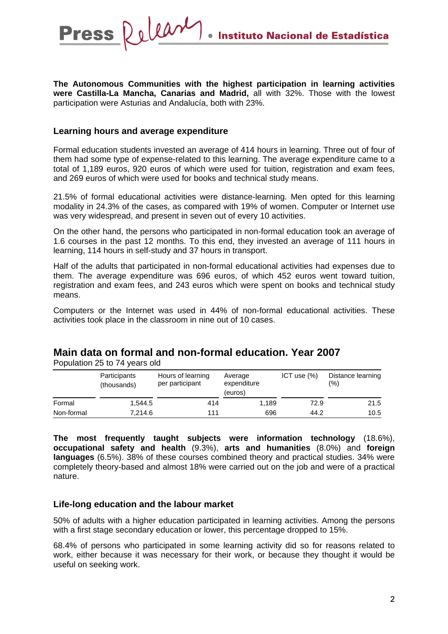**The Autonomous Communities with the highest participation in learning activities were Castilla-La Mancha, Canarias and Madrid,** all with 32%. Those with the lowest participation were Asturias and Andalucía, both with 23%.

#### **Learning hours and average expenditure**

Release

**Press** 

Formal education students invested an average of 414 hours in learning. Three out of four of them had some type of expense-related to this learning. The average expenditure came to a total of 1,189 euros, 920 euros of which were used for tuition, registration and exam fees, and 269 euros of which were used for books and technical study means.

21.5% of formal educational activities were distance-learning. Men opted for this learning modality in 24.3% of the cases, as compared with 19% of women. Computer or Internet use was very widespread, and present in seven out of every 10 activities.

On the other hand, the persons who participated in non-formal education took an average of 1.6 courses in the past 12 months. To this end, they invested an average of 111 hours in learning, 114 hours in self-study and 37 hours in transport.

Half of the adults that participated in non-formal educational activities had expenses due to them. The average expenditure was 696 euros, of which 452 euros went toward tuition, registration and exam fees, and 243 euros which were spent on books and technical study means.

Computers or the Internet was used in 44% of non-formal educational activities. These activities took place in the classroom in nine out of 10 cases.

## **Main data on formal and non-formal education. Year 2007**

Population 25 to 74 years old

|            | Participants<br>(thousands) | Hours of learning<br>per participant | Average<br>expenditure<br>(euros) | ICT use $(% )$ | Distance learning<br>(%) |
|------------|-----------------------------|--------------------------------------|-----------------------------------|----------------|--------------------------|
| Formal     | 1.544.5                     | 414                                  | 1.189                             | 72.9           | 21.5                     |
| Non-formal | 7.214.6                     | 111                                  | 696                               | 44.2           | 10.5                     |

**The most frequently taught subjects were information technology** (18.6%), **occupational safety and health** (9.3%), **arts and humanities** (8.0%) and **foreign languages** (6.5%). 38% of these courses combined theory and practical studies. 34% were completely theory-based and almost 18% were carried out on the job and were of a practical nature.

#### **Life-long education and the labour market**

50% of adults with a higher education participated in learning activities. Among the persons with a first stage secondary education or lower, this percentage dropped to 15%.

68.4% of persons who participated in some learning activity did so for reasons related to work, either because it was necessary for their work, or because they thought it would be useful on seeking work.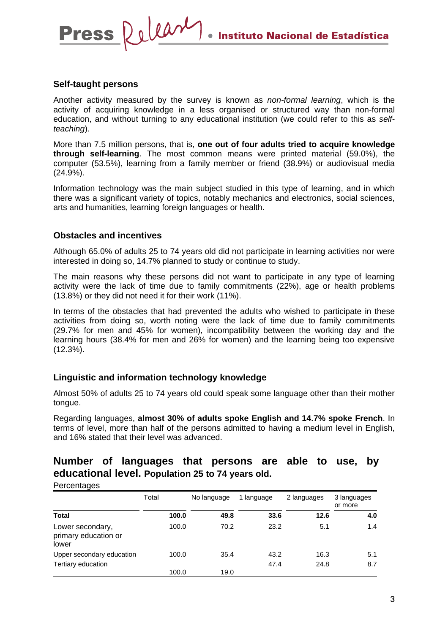#### **Self-taught persons**

**Press** 

Release

Another activity measured by the survey is known as *non-formal learning*, which is the activity of acquiring knowledge in a less organised or structured way than non-formal education, and without turning to any educational institution (we could refer to this as *selfteaching*).

More than 7.5 million persons, that is, **one out of four adults tried to acquire knowledge through self-learning**. The most common means were printed material (59.0%), the computer (53.5%), learning from a family member or friend (38.9%) or audiovisual media (24.9%).

Information technology was the main subject studied in this type of learning, and in which there was a significant variety of topics, notably mechanics and electronics, social sciences, arts and humanities, learning foreign languages or health.

#### **Obstacles and incentives**

**Percentages** 

Although 65.0% of adults 25 to 74 years old did not participate in learning activities nor were interested in doing so, 14.7% planned to study or continue to study.

The main reasons why these persons did not want to participate in any type of learning activity were the lack of time due to family commitments (22%), age or health problems (13.8%) or they did not need it for their work (11%).

In terms of the obstacles that had prevented the adults who wished to participate in these activities from doing so, worth noting were the lack of time due to family commitments (29.7% for men and 45% for women), incompatibility between the working day and the learning hours (38.4% for men and 26% for women) and the learning being too expensive (12.3%).

#### **Linguistic and information technology knowledge**

Almost 50% of adults 25 to 74 years old could speak some language other than their mother tongue.

Regarding languages, **almost 30% of adults spoke English and 14.7% spoke French**. In terms of level, more than half of the persons admitted to having a medium level in English, and 16% stated that their level was advanced.

## **Number of languages that persons are able to use, by educational level. Population 25 to 74 years old.**

| , oroomagoo                                       |       |             |            |             |                        |
|---------------------------------------------------|-------|-------------|------------|-------------|------------------------|
|                                                   | Total | No language | 1 language | 2 languages | 3 languages<br>or more |
| <b>Total</b>                                      | 100.0 | 49.8        | 33.6       | 12.6        | 4.0                    |
| Lower secondary,<br>primary education or<br>lower | 100.0 | 70.2        | 23.2       | 5.1         | 1.4                    |
| Upper secondary education                         | 100.0 | 35.4        | 43.2       | 16.3        | 5.1                    |
| Tertiary education                                |       |             | 47.4       | 24.8        | 8.7                    |
|                                                   | 100.0 | 19.0        |            |             |                        |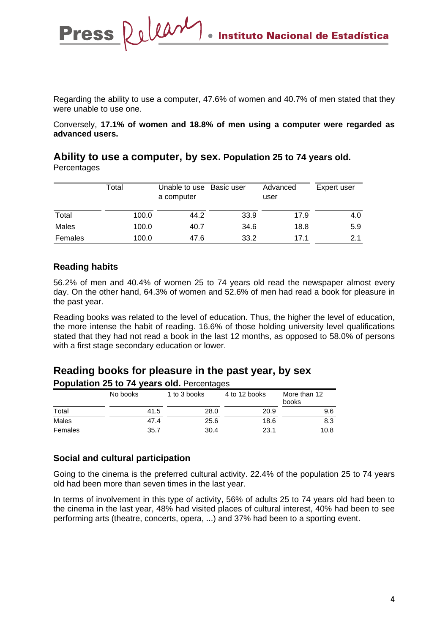Regarding the ability to use a computer, 47.6% of women and 40.7% of men stated that they were unable to use one.

Conversely, **17.1% of women and 18.8% of men using a computer were regarded as advanced users.** 

|         | Total | Unable to use Basic user<br>a computer |      | Advanced<br>user | Expert user |
|---------|-------|----------------------------------------|------|------------------|-------------|
| Total   | 100.0 | 44.2                                   | 33.9 | 17.9             | 4.0         |
| Males   | 100.0 | 40.7                                   | 34.6 | 18.8             | 5.9         |
| Females | 100.0 | 47.6                                   | 33.2 | 17.1             | 2.1         |

### **Ability to use a computer, by sex. Population 25 to 74 years old. Percentages**

Release

### **Reading habits**

**Press** 

56.2% of men and 40.4% of women 25 to 74 years old read the newspaper almost every day. On the other hand, 64.3% of women and 52.6% of men had read a book for pleasure in the past year.

Reading books was related to the level of education. Thus, the higher the level of education, the more intense the habit of reading. 16.6% of those holding university level qualifications stated that they had not read a book in the last 12 months, as opposed to 58.0% of persons with a first stage secondary education or lower.

### **Reading books for pleasure in the past year, by sex Population 25 to 74 years old.** Percentages

| No books |      | 1 to 3 books | 4 to 12 books | More than 12<br>books |  |
|----------|------|--------------|---------------|-----------------------|--|
| Total    | 41.5 | 28.0         | 20.9          | 9.6                   |  |
| Males    | 47.4 | 25.6         | 18.6          | 8.3                   |  |
| Females  | 35.7 | 30.4         | 23.1          | 10.8                  |  |

## **Social and cultural participation**

Going to the cinema is the preferred cultural activity. 22.4% of the population 25 to 74 years old had been more than seven times in the last year.

In terms of involvement in this type of activity, 56% of adults 25 to 74 years old had been to the cinema in the last year, 48% had visited places of cultural interest, 40% had been to see performing arts (theatre, concerts, opera, ...) and 37% had been to a sporting event.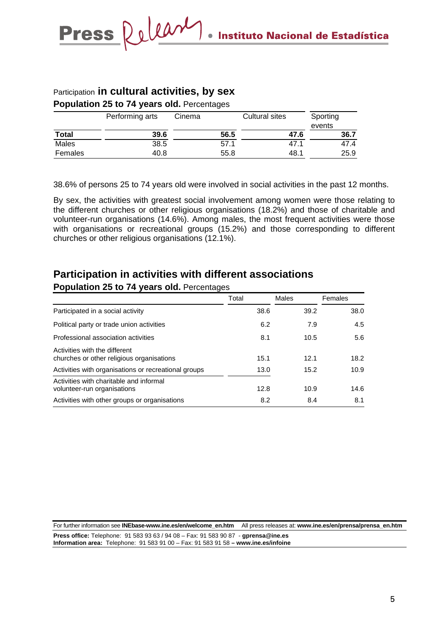## Participation **in cultural activities, by sex**

Press Relear

**Population 25 to 74 years old.** Percentages

|              | Performing arts | Cinema | Cultural sites | Sporting<br>events |  |
|--------------|-----------------|--------|----------------|--------------------|--|
| <b>Total</b> | 39.6            | 56.5   | 47.6           | 36.7               |  |
| Males        | 38.5            | 57.1   | 47.1           | 47.4               |  |
| Females      | 40.8            | 55.8   | 48.1           | 25.9               |  |

38.6% of persons 25 to 74 years old were involved in social activities in the past 12 months.

By sex, the activities with greatest social involvement among women were those relating to the different churches or other religious organisations (18.2%) and those of charitable and volunteer-run organisations (14.6%). Among males, the most frequent activities were those with organisations or recreational groups (15.2%) and those corresponding to different churches or other religious organisations (12.1%).

# **Participation in activities with different associations**

#### **Population 25 to 74 years old.** Percentages

|                                                                            | Total | Males | Females |
|----------------------------------------------------------------------------|-------|-------|---------|
| Participated in a social activity                                          | 38.6  | 39.2  | 38.0    |
| Political party or trade union activities                                  | 6.2   | 7.9   | 4.5     |
| Professional association activities                                        | 8.1   | 10.5  | 5.6     |
| Activities with the different<br>churches or other religious organisations | 15.1  | 12.1  | 18.2    |
| Activities with organisations or recreational groups                       | 13.0  | 15.2  | 10.9    |
| Activities with charitable and informal<br>volunteer-run organisations     | 12.8  | 10.9  | 14.6    |
| Activities with other groups or organisations                              | 8.2   | 8.4   | 8.1     |

For further information see **INEbase-www.ine.es/en/welcome\_en.htm** All press releases at: **www.ine.es/en/prensa/prensa\_en.htm Press office:** Telephone: 91 583 93 63 / 94 08 – Fax: 91 583 90 87 - **gprensa@ine.es Information area:** Telephone: 91 583 91 00 – Fax: 91 583 91 58 **– www.ine.es/infoine**